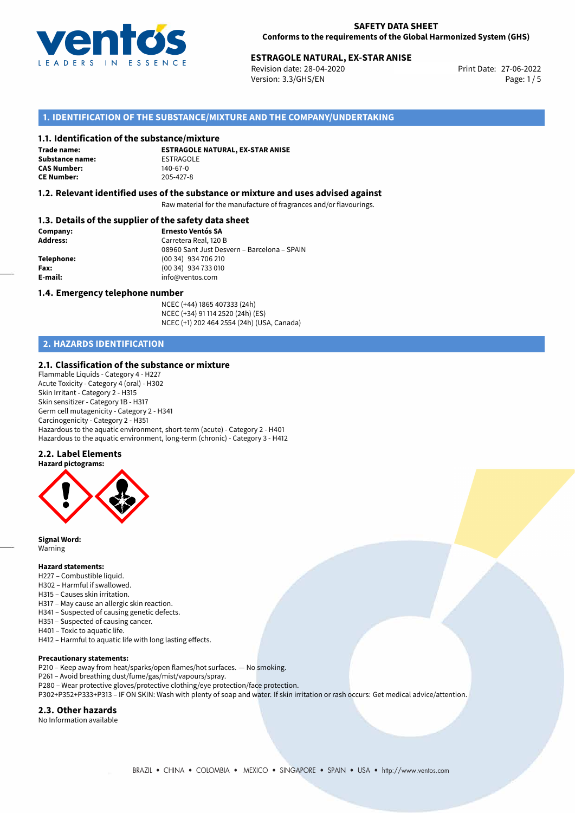

# **ESTRAGOLE NATURAL, EX-STAR ANISE**<br>27-06-2022 **Print Date: 27-06-202**2

Revision date: 28-04-2020 Version: 3.3/GHS/EN Page: 1/5

### **1. IDENTIFICATION OF THE SUBSTANCE/MIXTURE AND THE COMPANY/UNDERTAKING**

#### **1.1. Identification of the substance/mixture**

**Trade name: Substance name:** ESTRAGOLE<br> **CAS Number:** 140-67-0 **CAS Number: CE Number:** 205-427-8

**ESTRAGOLE NATURAL, EX-STAR ANISE**

#### **1.2. Relevant identified uses of the substance or mixture and uses advised against**

Raw material for the manufacture of fragrances and/or flavourings.

### **1.3. Details of the supplier of the safety data sheet**

| Company:        | <b>Ernesto Ventós SA</b>                    |  |
|-----------------|---------------------------------------------|--|
| <b>Address:</b> | Carretera Real, 120 B                       |  |
|                 | 08960 Sant Just Desvern - Barcelona - SPAIN |  |
| Telephone:      | (00 34) 934 706 210                         |  |
| Fax:            | (00 34) 934 733 010                         |  |
| E-mail:         | info@ventos.com                             |  |
|                 |                                             |  |

#### **1.4. Emergency telephone number**

NCEC (+44) 1865 407333 (24h) NCEC (+34) 91 114 2520 (24h) (ES) NCEC (+1) 202 464 2554 (24h) (USA, Canada)

## **2. HAZARDS IDENTIFICATION**

#### **2.1. Classification of the substance or mixture**

Flammable Liquids - Category 4 - H227 Acute Toxicity - Category 4 (oral) - H302 Skin Irritant - Category 2 - H315 Skin sensitizer - Category 1B - H317 Germ cell mutagenicity - Category 2 - H341 Carcinogenicity - Category 2 - H351 Hazardous to the aquatic environment, short-term (acute) - Category 2 - H401 Hazardous to the aquatic environment, long-term (chronic) - Category 3 - H412

#### **2.2. Label Elements**



**Signal Word:** Warning

#### **Hazard statements:**

- H227 Combustible liquid.
- H302 Harmful if swallowed.
- H315 Causes skin irritation.
- H317 May cause an allergic skin reaction.
- H341 Suspected of causing genetic defects.
- H351 Suspected of causing cancer. H401 – Toxic to aquatic life.
- H412 Harmful to aquatic life with long lasting effects.

#### **Precautionary statements:**

- P210 Keep away from heat/sparks/open flames/hot surfaces. No smoking.
- P261 Avoid breathing dust/fume/gas/mist/vapours/spray.
- P280 Wear protective gloves/protective clothing/eye protection/face protection.
- P302+P352+P333+P313 IF ON SKIN: Wash with plenty of soap and water. If skin irritation or rash occurs: Get medical advice/attention.

## **2.3. Other hazards**

No Information available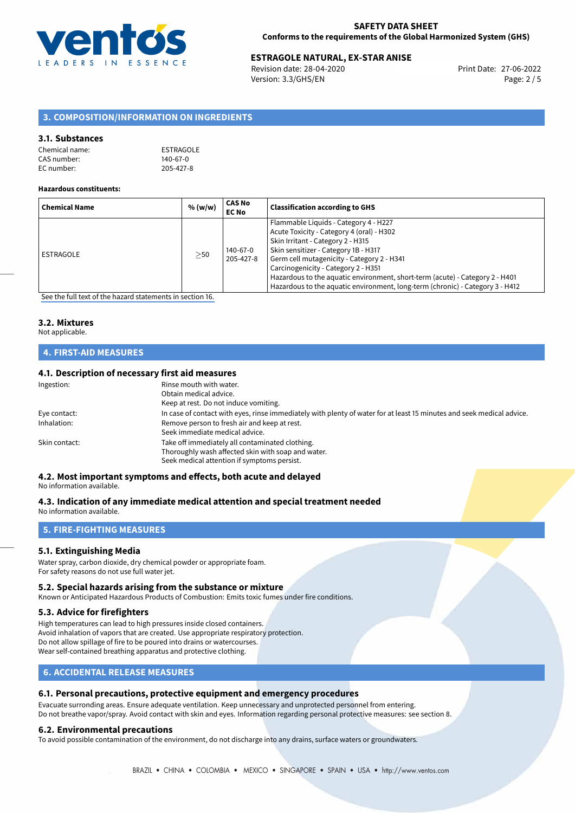

## **ESTRAGOLE NATURAL, EX-STAR ANISE**<br>
Revision date: 28-04-2020<br>
Print Date: 27-06-2022

Revision date: 28-04-2020 Version: 3.3/GHS/EN Page: 2 / 5

## **3. COMPOSITION/INFORMATION ON INGREDIENTS**

#### **3.1. Substances**

| Chemical name: | ESTRAGOLE      |
|----------------|----------------|
| CAS number:    | $140 - 67 - 0$ |
| EC number:     | 205-427-8      |

#### **Hazardous constituents:**

| <b>Chemical Name</b> | % (w/w)   | CAS No<br><b>EC No</b> | <b>Classification according to GHS</b>                                                                                                                                                                                                                                                                                                                                                                                |
|----------------------|-----------|------------------------|-----------------------------------------------------------------------------------------------------------------------------------------------------------------------------------------------------------------------------------------------------------------------------------------------------------------------------------------------------------------------------------------------------------------------|
| ESTRAGOLE            | $\geq$ 50 | 140-67-0<br>205-427-8  | Flammable Liquids - Category 4 - H227<br>Acute Toxicity - Category 4 (oral) - H302<br>Skin Irritant - Category 2 - H315<br>Skin sensitizer - Category 1B - H317<br>Germ cell mutagenicity - Category 2 - H341<br>Carcinogenicity - Category 2 - H351<br>Hazardous to the aquatic environment, short-term (acute) - Category 2 - H401<br>Hazardous to the aquatic environment, long-term (chronic) - Category 3 - H412 |

[See the full text of the hazard statements in section 16.](#page-4-0)

## **3.2. Mixtures**

## Not applicable.

## **4. FIRST-AID MEASURES**

#### **4.1. Description of necessary first aid measures**

| In case of contact with eyes, rinse immediately with plenty of water for at least 15 minutes and seek medical advice. |
|-----------------------------------------------------------------------------------------------------------------------|
|                                                                                                                       |
|                                                                                                                       |
|                                                                                                                       |
|                                                                                                                       |
|                                                                                                                       |
|                                                                                                                       |

## **4.2. Most important symptoms and effects, both acute and delayed**

#### No information available.

## **4.3. Indication of any immediate medical attention and special treatment needed**

No information available.

## **5. FIRE-FIGHTING MEASURES**

#### **5.1. Extinguishing Media**

Water spray, carbon dioxide, dry chemical powder or appropriate foam. For safety reasons do not use full water jet.

#### **5.2. Special hazards arising from the substance or mixture**

Known or Anticipated Hazardous Products of Combustion: Emits toxic fumes under fire conditions.

#### **5.3. Advice for firefighters**

High temperatures can lead to high pressures inside closed containers. Avoid inhalation of vapors that are created. Use appropriate respiratory protection. Do not allow spillage of fire to be poured into drains or watercourses. Wear self-contained breathing apparatus and protective clothing.

## **6. ACCIDENTAL RELEASE MEASURES**

#### **6.1. Personal precautions, protective equipment and emergency procedures**

Evacuate surronding areas. Ensure adequate ventilation. Keep unnecessary and unprotected personnel from entering. Do not breathe vapor/spray. Avoid contact with skin and eyes. Information regarding personal protective measures: see section 8.

#### **6.2. Environmental precautions**

To avoid possible contamination of the environment, do not discharge into any drains, surface waters or groundwaters.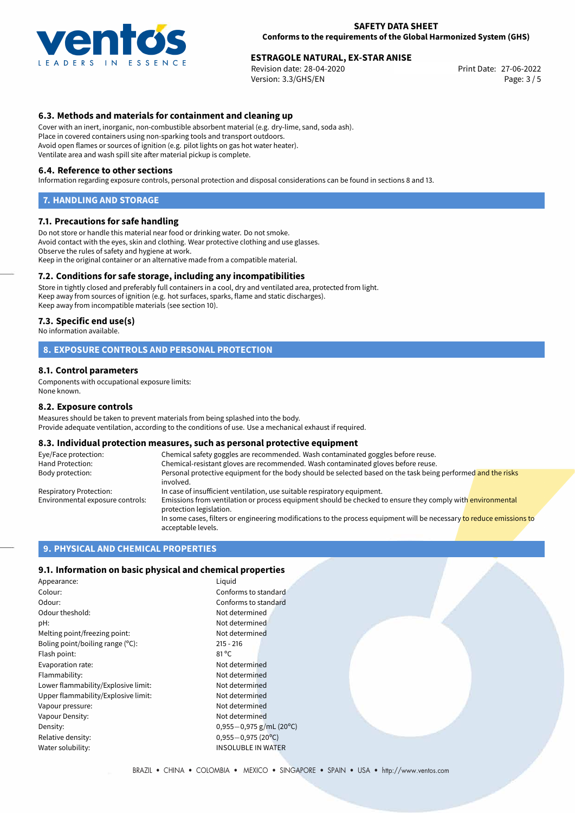

## **ESTRAGOLE NATURAL, EX-STAR ANISE**<br>
Revision date: 28-04-2020<br>
Print Date: 27-06-2022

Revision date: 28-04-2020 Version: 3.3/GHS/EN Page: 3 / 5

## **6.3. Methods and materials for containment and cleaning up**

Cover with an inert, inorganic, non-combustible absorbent material (e.g. dry-lime, sand, soda ash). Place in covered containers using non-sparking tools and transport outdoors. Avoid open flames or sources of ignition (e.g. pilot lights on gas hot water heater). Ventilate area and wash spill site after material pickup is complete.

#### **6.4. Reference to other sections**

Information regarding exposure controls, personal protection and disposal considerations can be found in sections 8 and 13.

#### **7. HANDLING AND STORAGE**

#### **7.1. Precautions for safe handling**

Do not store or handle this material near food or drinking water. Do not smoke. Avoid contact with the eyes, skin and clothing. Wear protective clothing and use glasses. Observe the rules of safety and hygiene at work. Keep in the original container or an alternative made from a compatible material.

#### **7.2. Conditions for safe storage, including any incompatibilities**

Store in tightly closed and preferably full containers in a cool, dry and ventilated area, protected from light. Keep away from sources of ignition (e.g. hot surfaces, sparks, flame and static discharges). Keep away from incompatible materials (see section 10).

#### **7.3. Specific end use(s)**

No information available.

#### **8. EXPOSURE CONTROLS AND PERSONAL PROTECTION**

#### **8.1. Control parameters**

Components with occupational exposure limits: None known.

#### **8.2. Exposure controls**

Measures should be taken to prevent materials from being splashed into the body. Provide adequate ventilation, according to the conditions of use. Use a mechanical exhaust if required.

#### **8.3. Individual protection measures, such as personal protective equipment**

| Eye/Face protection:             | Chemical safety goggles are recommended. Wash contaminated goggles before reuse.                                                            |  |  |
|----------------------------------|---------------------------------------------------------------------------------------------------------------------------------------------|--|--|
| Hand Protection:                 | Chemical-resistant gloves are recommended. Wash contaminated gloves before reuse.                                                           |  |  |
| Body protection:                 | Personal protective equipment for the body should be selected based on the task being performed and the risks<br>involved.                  |  |  |
| Respiratory Protection:          | In case of insufficient ventilation, use suitable respiratory equipment.                                                                    |  |  |
| Environmental exposure controls: | Emissions from ventilation or process equipment should be checked to ensure they comply with environmental<br>protection legislation.       |  |  |
|                                  | In some cases, filters or engineering modifications to the process equipment will be necessary to reduce emissions to<br>acceptable levels. |  |  |

#### **9. PHYSICAL AND CHEMICAL PROPERTIES**

#### **9.1. Information on basic physical and chemical properties**

| Appearance:                         | Liguid                    |
|-------------------------------------|---------------------------|
| Colour:                             | Conforms to standard      |
| Odour:                              | Conforms to standard      |
| Odour theshold:                     | Not determined            |
| pH:                                 | Not determined            |
| Melting point/freezing point:       | Not determined            |
| Boling point/boiling range (°C):    | $215 - 216$               |
| Flash point:                        | $81^{\circ}$ C            |
| Evaporation rate:                   | Not determined            |
| Flammability:                       | Not determined            |
| Lower flammability/Explosive limit: | Not determined            |
| Upper flammability/Explosive limit: | Not determined            |
| Vapour pressure:                    | Not determined            |
| Vapour Density:                     | Not determined            |
| Density:                            | $0,955 - 0,975$ g/mL (20  |
| Relative density:                   | $0,955 - 0,975$ (20°C)    |
| Water solubility:                   | <b>INSOLUBLE IN WATER</b> |

oforms to standard determined determined determined determined Flammability: Not determined determined determined determined determined: Density: 0,955*−*0,975 g/mL (20ºC) Relative density: 0,955*−*0,975 (20ºC) **OLUBLE IN WATER**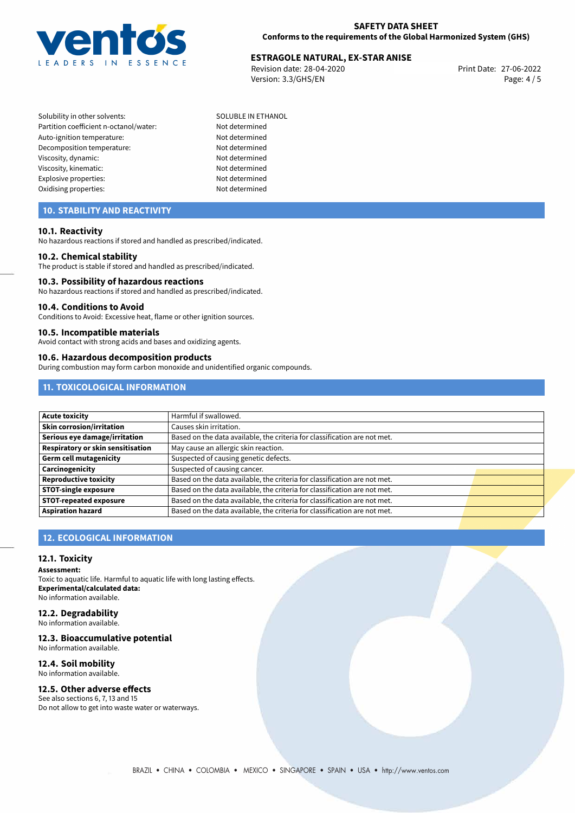

# **ESTRAGOLE NATURAL, EX-STAR ANISE**<br>27-06-2022 **Print Date: 27-06-202**2

Revision date: 28-04-2020 Version: 3.3/GHS/EN Page: 4 / 5

- Solubility in other solvents: SOLUBLE IN ETHANOL Partition coefficient n-octanol/water: Not determined Auto-ignition temperature: Not determined Decomposition temperature: Not determined Viscosity, dynamic: Not determined Viscosity, kinematic: Not determined Explosive properties: Not determined Oxidising properties: Not determined
	-

## **10. STABILITY AND REACTIVITY**

#### **10.1. Reactivity**

No hazardous reactions if stored and handled as prescribed/indicated.

#### **10.2. Chemical stability**

The product is stable if stored and handled as prescribed/indicated.

#### **10.3. Possibility of hazardous reactions**

No hazardous reactions if stored and handled as prescribed/indicated.

#### **10.4. Conditions to Avoid**

Conditions to Avoid: Excessive heat, flame or other ignition sources.

#### **10.5. Incompatible materials**

Avoid contact with strong acids and bases and oxidizing agents.

#### **10.6. Hazardous decomposition products**

During combustion may form carbon monoxide and unidentified organic compounds.

## **11. TOXICOLOGICAL INFORMATION**

| <b>Acute toxicity</b>             | Harmful if swallowed.                                                     |  |
|-----------------------------------|---------------------------------------------------------------------------|--|
| Skin corrosion/irritation         | Causes skin irritation.                                                   |  |
| Serious eye damage/irritation     | Based on the data available, the criteria for classification are not met. |  |
| Respiratory or skin sensitisation | May cause an allergic skin reaction.                                      |  |
| <b>Germ cell mutagenicity</b>     | Suspected of causing genetic defects.                                     |  |
| Carcinogenicity                   | Suspected of causing cancer.                                              |  |
| <b>Reproductive toxicity</b>      | Based on the data available, the criteria for classification are not met. |  |
| <b>STOT-single exposure</b>       | Based on the data available, the criteria for classification are not met. |  |
| <b>STOT-repeated exposure</b>     | Based on the data available, the criteria for classification are not met. |  |
| <b>Aspiration hazard</b>          | Based on the data available, the criteria for classification are not met. |  |

## **12. ECOLOGICAL INFORMATION**

#### **12.1. Toxicity**

**Assessment:**

Toxic to aquatic life. Harmful to aquatic life with long lasting effects. **Experimental/calculated data:** No information available.

## **12.2. Degradability**

No information available.

#### **12.3. Bioaccumulative potential**

No information available.

## **12.4. Soil mobility**

No information available.

## **12.5. Other adverse effects**

See also sections 6, 7, 13 and 15 Do not allow to get into waste water or waterways.